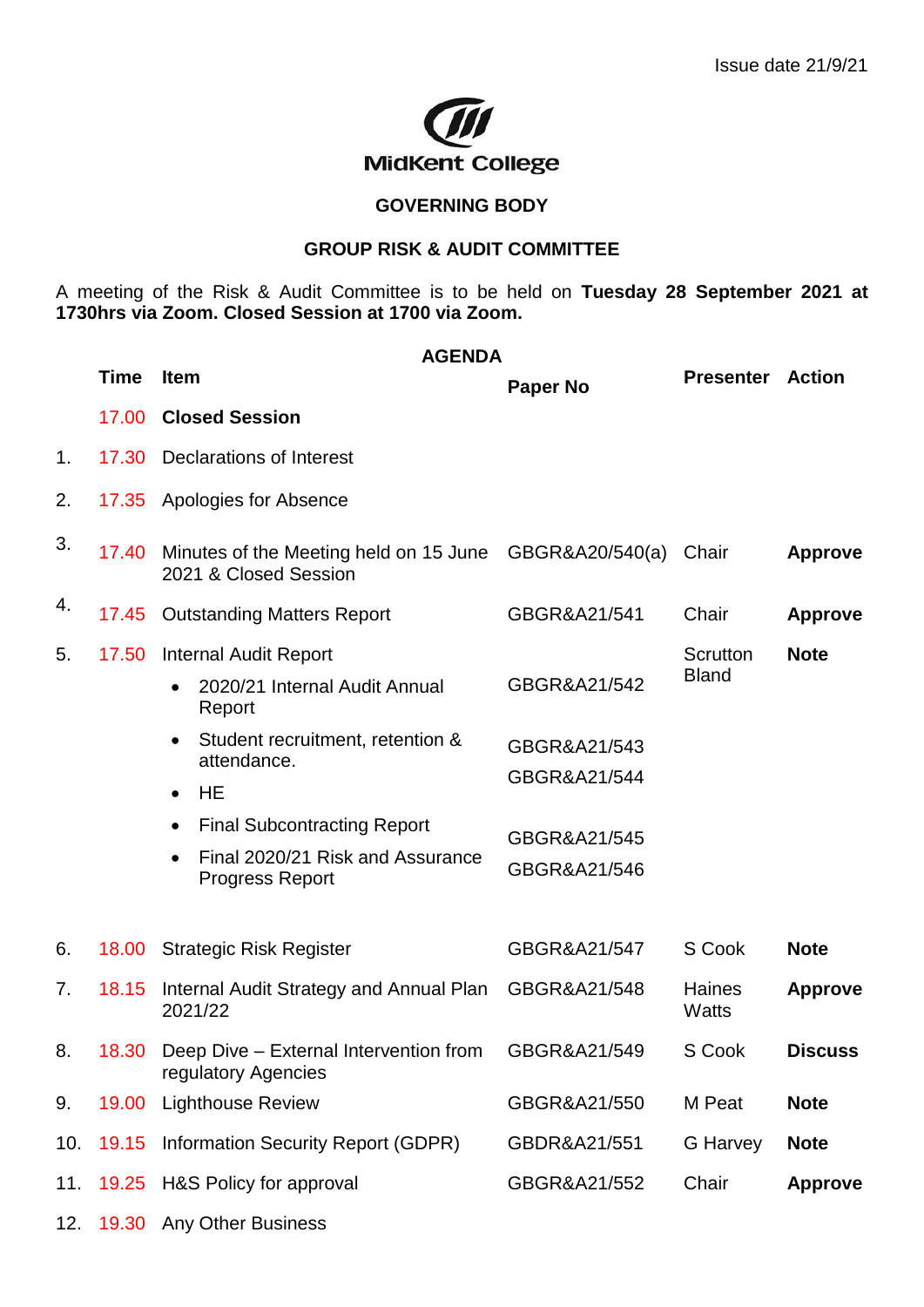

## **GOVERNING BODY**

## **GROUP RISK & AUDIT COMMITTEE**

A meeting of the Risk & Audit Committee is to be held on **Tuesday 28 September 2021 at 1730hrs via Zoom. Closed Session at 1700 via Zoom.**

|     | <b>AGENDA</b> |                                                                                                                                                                                                                                                                            |                                                                              |                                 |                |
|-----|---------------|----------------------------------------------------------------------------------------------------------------------------------------------------------------------------------------------------------------------------------------------------------------------------|------------------------------------------------------------------------------|---------------------------------|----------------|
|     | <b>Time</b>   | <b>Item</b>                                                                                                                                                                                                                                                                | <b>Paper No</b>                                                              | <b>Presenter</b>                | <b>Action</b>  |
|     | 17.00         | <b>Closed Session</b>                                                                                                                                                                                                                                                      |                                                                              |                                 |                |
| 1.  | 17.30         | Declarations of Interest                                                                                                                                                                                                                                                   |                                                                              |                                 |                |
| 2.  | 17.35         | <b>Apologies for Absence</b>                                                                                                                                                                                                                                               |                                                                              |                                 |                |
| 3.  | 17.40         | Minutes of the Meeting held on 15 June GBGR&A20/540(a)<br>2021 & Closed Session                                                                                                                                                                                            |                                                                              | Chair                           | <b>Approve</b> |
| 4.  | 17.45         | <b>Outstanding Matters Report</b>                                                                                                                                                                                                                                          | GBGR&A21/541                                                                 | Chair                           | <b>Approve</b> |
| 5.  | 17.50         | <b>Internal Audit Report</b><br>2020/21 Internal Audit Annual<br>Report<br>Student recruitment, retention &<br>$\bullet$<br>attendance.<br><b>HE</b><br>$\bullet$<br><b>Final Subcontracting Report</b><br>٠<br>Final 2020/21 Risk and Assurance<br><b>Progress Report</b> | GBGR&A21/542<br>GBGR&A21/543<br>GBGR&A21/544<br>GBGR&A21/545<br>GBGR&A21/546 | <b>Scrutton</b><br><b>Bland</b> | <b>Note</b>    |
| 6.  | 18.00         | <b>Strategic Risk Register</b>                                                                                                                                                                                                                                             | GBGR&A21/547                                                                 | S Cook                          | <b>Note</b>    |
| 7.  | 18.15         | Internal Audit Strategy and Annual Plan<br>2021/22                                                                                                                                                                                                                         | GBGR&A21/548                                                                 | <b>Haines</b><br>Watts          | <b>Approve</b> |
| 8.  | 18.30         | Deep Dive - External Intervention from<br>regulatory Agencies                                                                                                                                                                                                              | GBGR&A21/549                                                                 | S Cook                          | <b>Discuss</b> |
| 9.  | 19.00         | <b>Lighthouse Review</b>                                                                                                                                                                                                                                                   | GBGR&A21/550                                                                 | M Peat                          | <b>Note</b>    |
| 10. | 19.15         | Information Security Report (GDPR)                                                                                                                                                                                                                                         | GBDR&A21/551                                                                 | G Harvey                        | <b>Note</b>    |
| 11. | 19.25         | H&S Policy for approval                                                                                                                                                                                                                                                    | GBGR&A21/552                                                                 | Chair                           | <b>Approve</b> |
| 12. | 19.30         | <b>Any Other Business</b>                                                                                                                                                                                                                                                  |                                                                              |                                 |                |